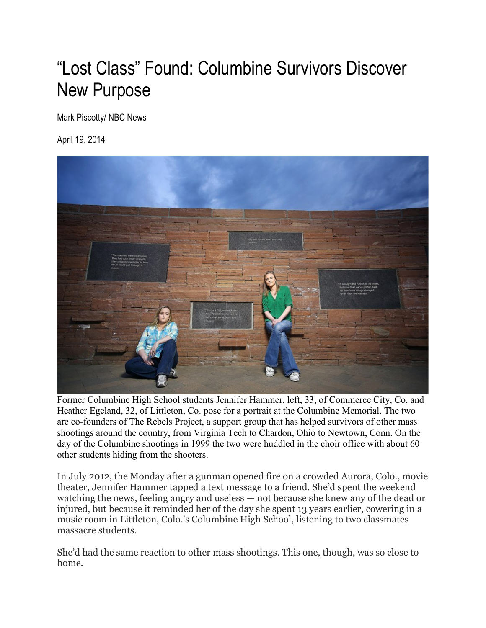## "Lost Class" Found: Columbine Survivors Discover New Purpose

Mark Piscotty/ NBC News

April 19, 2014



Former Columbine High School students Jennifer Hammer, left, 33, of Commerce City, Co. and Heather Egeland, 32, of Littleton, Co. pose for a portrait at the Columbine Memorial. The two are co-founders of The Rebels Project, a support group that has helped survivors of other mass shootings around the country, from Virginia Tech to Chardon, Ohio to Newtown, Conn. On the day of the Columbine shootings in 1999 the two were huddled in the choir office with about 60 other students hiding from the shooters.

In July 2012, the Monday after a gunman opened fire on a crowded Aurora, Colo., movie theater, Jennifer Hammer tapped a text message to a friend. She'd spent the weekend watching the news, feeling angry and useless — not because she knew any of the dead or injured, but because it reminded her of the day she spent 13 years earlier, cowering in a music room in Littleton, Colo.'s Columbine High School, listening to two classmates massacre students.

She'd had the same reaction to other mass shootings. This one, though, was so close to home.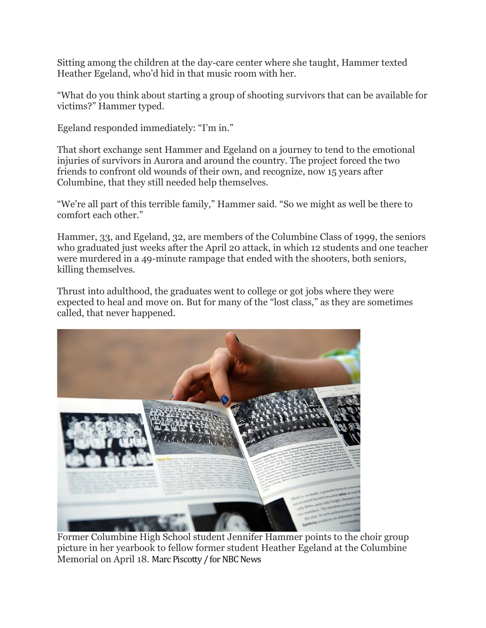Sitting among the children at the day-care center where she taught, Hammer texted Heather Egeland, who'd hid in that music room with her.

"What do you think about starting a group of shooting survivors that can be available for victims?" Hammer typed.

Egeland responded immediately: "I'm in."

That short exchange sent Hammer and Egeland on a journey to tend to the emotional injuries of survivors in Aurora and around the country. The project forced the two friends to confront old wounds of their own, and recognize, now 15 years after Columbine, that they still needed help themselves.

"We're all part of this terrible family," Hammer said. "So we might as well be there to comfort each other."

Hammer, 33, and Egeland, 32, are members of the Columbine Class of 1999, the seniors who graduated just weeks after the April 20 attack, in which 12 students and one teacher were murdered in a 49-minute rampage that ended with the shooters, both seniors, killing themselves.

Thrust into adulthood, the graduates went to college or got jobs where they were expected to heal and move on. But for many of the "lost class," as they are sometimes called, that never happened.



Former Columbine High School student Jennifer Hammer points to the choir group picture in her yearbook to fellow former student Heather Egeland at the Columbine Memorial on April 18. Marc Piscotty / for NBC News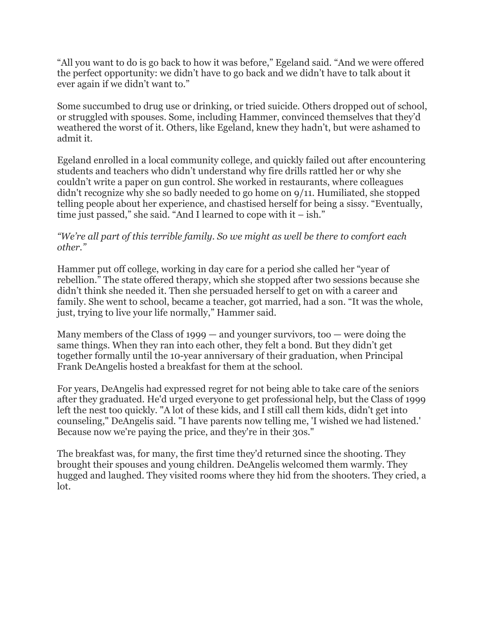"All you want to do is go back to how it was before," Egeland said. "And we were offered the perfect opportunity: we didn't have to go back and we didn't have to talk about it ever again if we didn't want to."

Some succumbed to drug use or drinking, or tried suicide. Others dropped out of school, or struggled with spouses. Some, including Hammer, convinced themselves that they'd weathered the worst of it. Others, like Egeland, knew they hadn't, but were ashamed to admit it.

Egeland enrolled in a local community college, and quickly failed out after encountering students and teachers who didn't understand why fire drills rattled her or why she couldn't write a paper on gun control. She worked in restaurants, where colleagues didn't recognize why she so badly needed to go home on 9/11. Humiliated, she stopped telling people about her experience, and chastised herself for being a sissy. "Eventually, time just passed," she said. "And I learned to cope with  $it - ish$ ."

## *"We're all part of this terrible family. So we might as well be there to comfort each other."*

Hammer put off college, working in day care for a period she called her "year of rebellion." The state offered therapy, which she stopped after two sessions because she didn't think she needed it. Then she persuaded herself to get on with a career and family. She went to school, became a teacher, got married, had a son. "It was the whole, just, trying to live your life normally," Hammer said.

Many members of the Class of 1999  $-$  and younger survivors, too  $-$  were doing the same things. When they ran into each other, they felt a bond. But they didn't get together formally until the 10-year anniversary of their graduation, when Principal Frank DeAngelis hosted a breakfast for them at the school.

For years, DeAngelis had expressed regret for not being able to take care of the seniors after they graduated. He'd urged everyone to get professional help, but the Class of 1999 left the nest too quickly. "A lot of these kids, and I still call them kids, didn't get into counseling," DeAngelis said. "I have parents now telling me, 'I wished we had listened.' Because now we're paying the price, and they're in their 30s."

The breakfast was, for many, the first time they'd returned since the shooting. They brought their spouses and young children. DeAngelis welcomed them warmly. They hugged and laughed. They visited rooms where they hid from the shooters. They cried, a lot.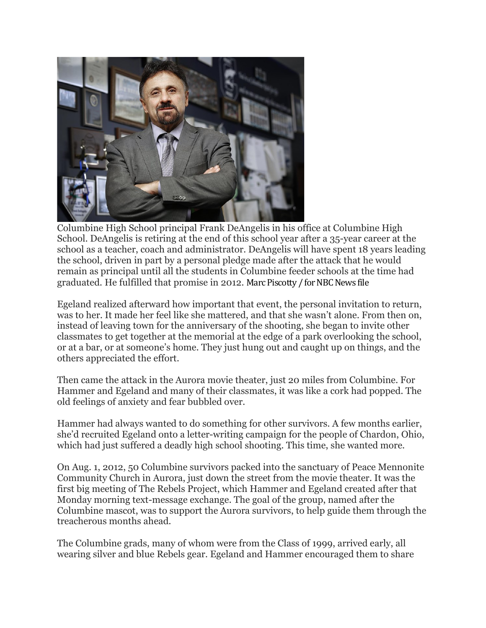

Columbine High School principal Frank DeAngelis in his office at Columbine High School. DeAngelis is retiring at the end of this school year after a 35-year career at the school as a teacher, coach and administrator. DeAngelis will have spent 18 years leading the school, driven in part by a personal pledge made after the attack that he would remain as principal until all the students in Columbine feeder schools at the time had graduated. He fulfilled that promise in 2012. Marc Piscotty / for NBC News file

Egeland realized afterward how important that event, the personal invitation to return, was to her. It made her feel like she mattered, and that she wasn't alone. From then on, instead of leaving town for the anniversary of the shooting, she began to invite other classmates to get together at the memorial at the edge of a park overlooking the school, or at a bar, or at someone's home. They just hung out and caught up on things, and the others appreciated the effort.

Then came the attack in the Aurora movie theater, just 20 miles from Columbine. For Hammer and Egeland and many of their classmates, it was like a cork had popped. The old feelings of anxiety and fear bubbled over.

Hammer had always wanted to do something for other survivors. A few months earlier, she'd recruited Egeland onto a letter-writing campaign for the people of Chardon, Ohio, which had just suffered a deadly high school shooting. This time, she wanted more.

On Aug. 1, 2012, 50 Columbine survivors packed into the sanctuary of Peace Mennonite Community Church in Aurora, just down the street from the movie theater. It was the first big meeting of The Rebels Project, which Hammer and Egeland created after that Monday morning text-message exchange. The goal of the group, named after the Columbine mascot, was to support the Aurora survivors, to help guide them through the treacherous months ahead.

The Columbine grads, many of whom were from the Class of 1999, arrived early, all wearing silver and blue Rebels gear. Egeland and Hammer encouraged them to share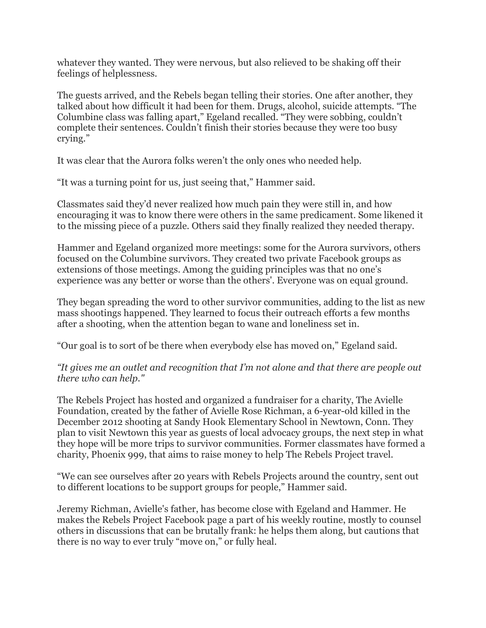whatever they wanted. They were nervous, but also relieved to be shaking off their feelings of helplessness.

The guests arrived, and the Rebels began telling their stories. One after another, they talked about how difficult it had been for them. Drugs, alcohol, suicide attempts. "The Columbine class was falling apart," Egeland recalled. "They were sobbing, couldn't complete their sentences. Couldn't finish their stories because they were too busy crying."

It was clear that the Aurora folks weren't the only ones who needed help.

"It was a turning point for us, just seeing that," Hammer said.

Classmates said they'd never realized how much pain they were still in, and how encouraging it was to know there were others in the same predicament. Some likened it to the missing piece of a puzzle. Others said they finally realized they needed therapy.

Hammer and Egeland organized more meetings: some for the Aurora survivors, others focused on the Columbine survivors. They created two private Facebook groups as extensions of those meetings. Among the guiding principles was that no one's experience was any better or worse than the others'. Everyone was on equal ground.

They began spreading the word to other survivor communities, adding to the list as new mass shootings happened. They learned to focus their outreach efforts a few months after a shooting, when the attention began to wane and loneliness set in.

"Our goal is to sort of be there when everybody else has moved on," Egeland said.

*"It gives me an outlet and recognition that I'm not alone and that there are people out there who can help."*

The Rebels Project has hosted and organized a fundraiser for a charity, The Avielle Foundation, created by the father of Avielle Rose Richman, a 6-year-old killed in the December 2012 shooting at Sandy Hook Elementary School in Newtown, Conn. They plan to visit Newtown this year as guests of local advocacy groups, the next step in what they hope will be more trips to survivor communities. Former classmates have formed a charity, Phoenix 999, that aims to raise money to help The Rebels Project travel.

"We can see ourselves after 20 years with Rebels Projects around the country, sent out to different locations to be support groups for people," Hammer said.

Jeremy Richman, Avielle's father, has become close with Egeland and Hammer. He makes the Rebels Project Facebook page a part of his weekly routine, mostly to counsel others in discussions that can be brutally frank: he helps them along, but cautions that there is no way to ever truly "move on," or fully heal.